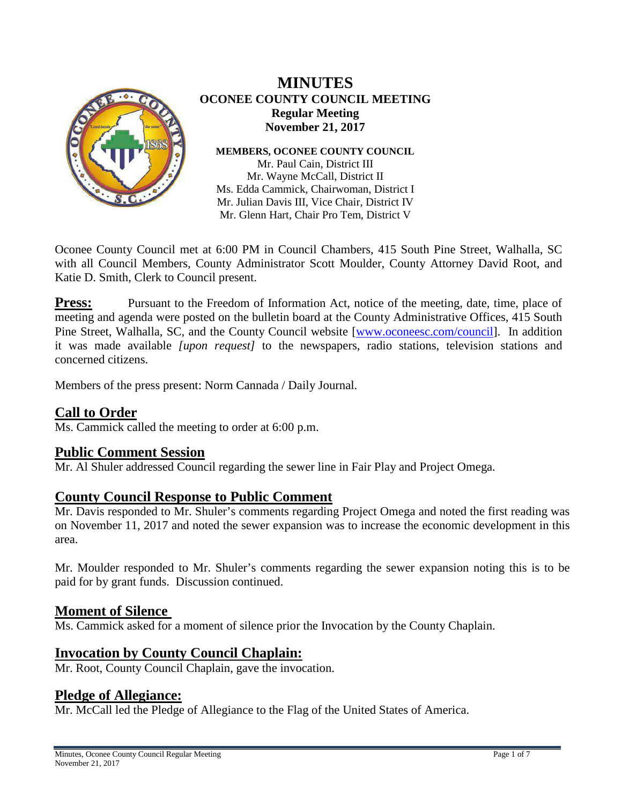

# **MINUTES OCONEE COUNTY COUNCIL MEETING Regular Meeting November 21, 2017**

**MEMBERS, OCONEE COUNTY COUNCIL**

Mr. Paul Cain, District III Mr. Wayne McCall, District II Ms. Edda Cammick, Chairwoman, District I Mr. Julian Davis III, Vice Chair, District IV Mr. Glenn Hart, Chair Pro Tem, District V

Oconee County Council met at 6:00 PM in Council Chambers, 415 South Pine Street, Walhalla, SC with all Council Members, County Administrator Scott Moulder, County Attorney David Root, and Katie D. Smith, Clerk to Council present.

**Press:** Pursuant to the Freedom of Information Act, notice of the meeting, date, time, place of meeting and agenda were posted on the bulletin board at the County Administrative Offices, 415 South Pine Street, Walhalla, SC, and the County Council website [\[www.oconeesc.com/council\]](http://www.oconeesc.com/council). In addition it was made available *[upon request]* to the newspapers, radio stations, television stations and concerned citizens.

Members of the press present: Norm Cannada / Daily Journal.

# **Call to Order**

Ms. Cammick called the meeting to order at 6:00 p.m.

**Public Comment Session**<br>Mr. Al Shuler addressed Council regarding the sewer line in Fair Play and Project Omega.

# **County Council Response to Public Comment**

Mr. Davis responded to Mr. Shuler's comments regarding Project Omega and noted the first reading was on November 11, 2017 and noted the sewer expansion was to increase the economic development in this area.

Mr. Moulder responded to Mr. Shuler's comments regarding the sewer expansion noting this is to be paid for by grant funds. Discussion continued.

## **Moment of Silence**

Ms. Cammick asked for a moment of silence prior the Invocation by the County Chaplain.

# **Invocation by County Council Chaplain:**

Mr. Root, County Council Chaplain, gave the invocation.

# **Pledge of Allegiance:**

Mr. McCall led the Pledge of Allegiance to the Flag of the United States of America.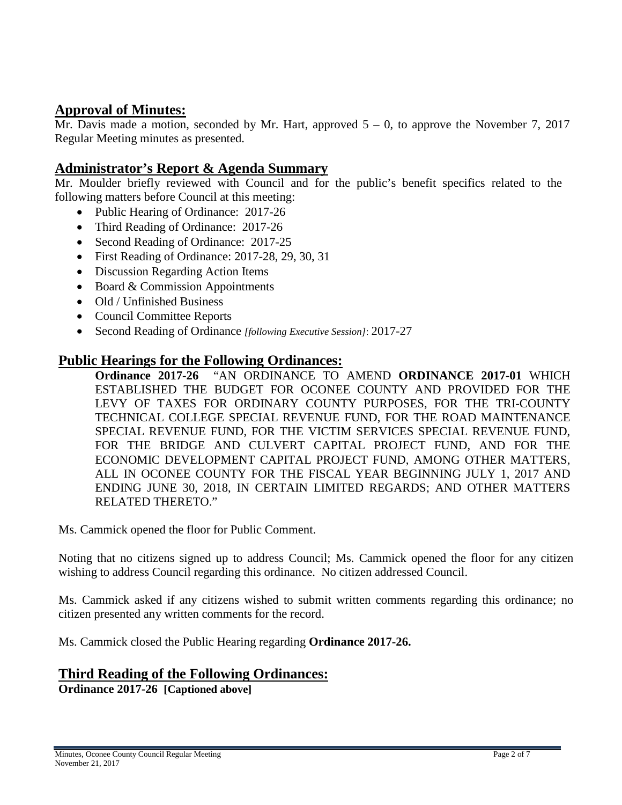# **Approval of Minutes:**

Mr. Davis made a motion, seconded by Mr. Hart, approved  $5 - 0$ , to approve the November 7, 2017 Regular Meeting minutes as presented.

# **Administrator's Report & Agenda Summary**

Mr. Moulder briefly reviewed with Council and for the public's benefit specifics related to the following matters before Council at this meeting:

- Public Hearing of Ordinance: 2017-26
- Third Reading of Ordinance: 2017-26
- Second Reading of Ordinance: 2017-25
- First Reading of Ordinance: 2017-28, 29, 30, 31
- Discussion Regarding Action Items
- Board & Commission Appointments
- Old / Unfinished Business
- Council Committee Reports
- Second Reading of Ordinance *[following Executive Session]*: 2017-27

## **Public Hearings for the Following Ordinances:**

**Ordinance 2017-26** "AN ORDINANCE TO AMEND **ORDINANCE 2017-01** WHICH ESTABLISHED THE BUDGET FOR OCONEE COUNTY AND PROVIDED FOR THE LEVY OF TAXES FOR ORDINARY COUNTY PURPOSES, FOR THE TRI-COUNTY TECHNICAL COLLEGE SPECIAL REVENUE FUND, FOR THE ROAD MAINTENANCE SPECIAL REVENUE FUND, FOR THE VICTIM SERVICES SPECIAL REVENUE FUND, FOR THE BRIDGE AND CULVERT CAPITAL PROJECT FUND, AND FOR THE ECONOMIC DEVELOPMENT CAPITAL PROJECT FUND, AMONG OTHER MATTERS, ALL IN OCONEE COUNTY FOR THE FISCAL YEAR BEGINNING JULY 1, 2017 AND ENDING JUNE 30, 2018, IN CERTAIN LIMITED REGARDS; AND OTHER MATTERS RELATED THERETO."

Ms. Cammick opened the floor for Public Comment.

Noting that no citizens signed up to address Council; Ms. Cammick opened the floor for any citizen wishing to address Council regarding this ordinance. No citizen addressed Council.

Ms. Cammick asked if any citizens wished to submit written comments regarding this ordinance; no citizen presented any written comments for the record.

Ms. Cammick closed the Public Hearing regarding **Ordinance 2017-26.**

# **Third Reading of the Following Ordinances:**

**Ordinance 2017-26 [Captioned above]**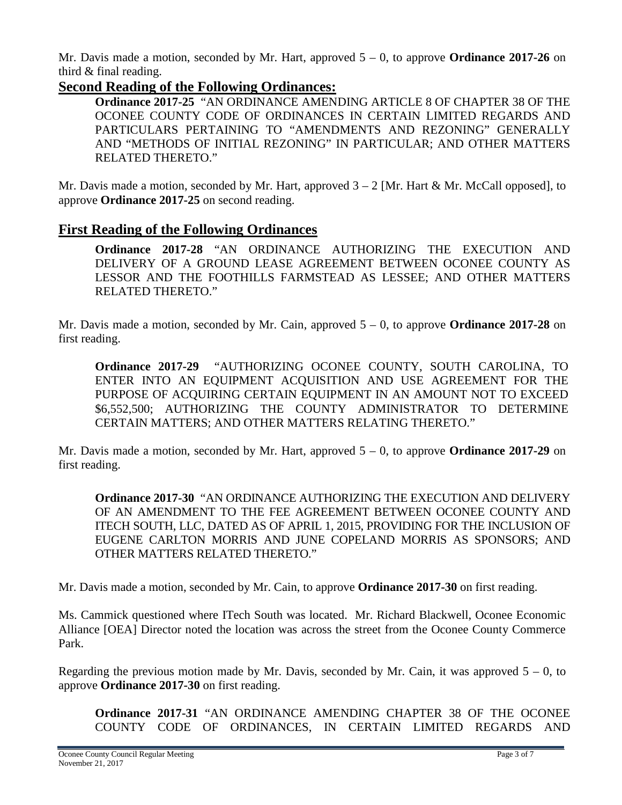Mr. Davis made a motion, seconded by Mr. Hart, approved 5 – 0, to approve **Ordinance 2017-26** on third & final reading.

# **Second Reading of the Following Ordinances:**

**Ordinance 2017-25** "AN ORDINANCE AMENDING ARTICLE 8 OF CHAPTER 38 OF THE OCONEE COUNTY CODE OF ORDINANCES IN CERTAIN LIMITED REGARDS AND PARTICULARS PERTAINING TO "AMENDMENTS AND REZONING" GENERALLY AND "METHODS OF INITIAL REZONING" IN PARTICULAR; AND OTHER MATTERS RELATED THERETO."

Mr. Davis made a motion, seconded by Mr. Hart, approved  $3 - 2$  [Mr. Hart & Mr. McCall opposed], to approve **Ordinance 2017-25** on second reading.

# **First Reading of the Following Ordinances**

**Ordinance 2017-28** "AN ORDINANCE AUTHORIZING THE EXECUTION AND DELIVERY OF A GROUND LEASE AGREEMENT BETWEEN OCONEE COUNTY AS LESSOR AND THE FOOTHILLS FARMSTEAD AS LESSEE; AND OTHER MATTERS RELATED THERETO."

Mr. Davis made a motion, seconded by Mr. Cain, approved 5 – 0, to approve **Ordinance 2017-28** on first reading.

**Ordinance 2017-29** "AUTHORIZING OCONEE COUNTY, SOUTH CAROLINA, TO ENTER INTO AN EQUIPMENT ACQUISITION AND USE AGREEMENT FOR THE PURPOSE OF ACQUIRING CERTAIN EQUIPMENT IN AN AMOUNT NOT TO EXCEED \$6,552,500; AUTHORIZING THE COUNTY ADMINISTRATOR TO DETERMINE CERTAIN MATTERS; AND OTHER MATTERS RELATING THERETO."

Mr. Davis made a motion, seconded by Mr. Hart, approved 5 – 0, to approve **Ordinance 2017-29** on first reading.

**Ordinance 2017-30** "AN ORDINANCE AUTHORIZING THE EXECUTION AND DELIVERY OF AN AMENDMENT TO THE FEE AGREEMENT BETWEEN OCONEE COUNTY AND ITECH SOUTH, LLC, DATED AS OF APRIL 1, 2015, PROVIDING FOR THE INCLUSION OF EUGENE CARLTON MORRIS AND JUNE COPELAND MORRIS AS SPONSORS; AND OTHER MATTERS RELATED THERETO."

Mr. Davis made a motion, seconded by Mr. Cain, to approve **Ordinance 2017-30** on first reading.

Ms. Cammick questioned where ITech South was located. Mr. Richard Blackwell, Oconee Economic Alliance [OEA] Director noted the location was across the street from the Oconee County Commerce Park.

Regarding the previous motion made by Mr. Davis, seconded by Mr. Cain, it was approved  $5 - 0$ , to approve **Ordinance 2017-30** on first reading.

**Ordinance 2017-31** "AN ORDINANCE AMENDING CHAPTER 38 OF THE OCONEE COUNTY CODE OF ORDINANCES, IN CERTAIN LIMITED REGARDS AND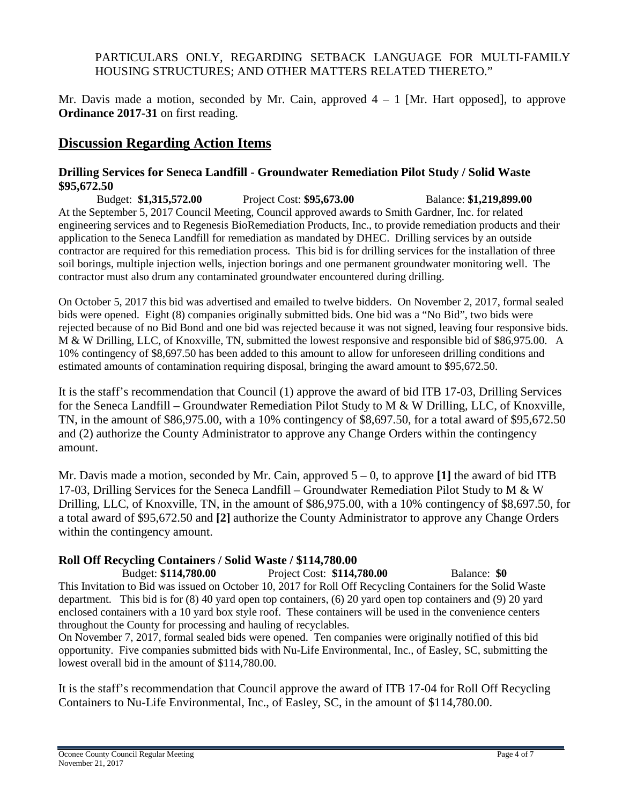## PARTICULARS ONLY, REGARDING SETBACK LANGUAGE FOR MULTI-FAMILY HOUSING STRUCTURES; AND OTHER MATTERS RELATED THERETO."

Mr. Davis made a motion, seconded by Mr. Cain, approved  $4 - 1$  [Mr. Hart opposed], to approve **Ordinance 2017-31** on first reading.

# **Discussion Regarding Action Items**

#### **Drilling Services for Seneca Landfill - Groundwater Remediation Pilot Study / Solid Waste \$95,672.50**

Budget: **\$1,315,572.00** Project Cost: **\$95,673.00** Balance: **\$1,219,899.00** At the September 5, 2017 Council Meeting, Council approved awards to Smith Gardner, Inc. for related engineering services and to Regenesis BioRemediation Products, Inc., to provide remediation products and their application to the Seneca Landfill for remediation as mandated by DHEC. Drilling services by an outside contractor are required for this remediation process. This bid is for drilling services for the installation of three soil borings, multiple injection wells, injection borings and one permanent groundwater monitoring well. The contractor must also drum any contaminated groundwater encountered during drilling.

On October 5, 2017 this bid was advertised and emailed to twelve bidders. On November 2, 2017, formal sealed bids were opened. Eight (8) companies originally submitted bids. One bid was a "No Bid", two bids were rejected because of no Bid Bond and one bid was rejected because it was not signed, leaving four responsive bids. M & W Drilling, LLC, of Knoxville, TN, submitted the lowest responsive and responsible bid of \$86,975.00. A 10% contingency of \$8,697.50 has been added to this amount to allow for unforeseen drilling conditions and estimated amounts of contamination requiring disposal, bringing the award amount to \$95,672.50.

It is the staff's recommendation that Council (1) approve the award of bid ITB 17-03, Drilling Services for the Seneca Landfill – Groundwater Remediation Pilot Study to M & W Drilling, LLC, of Knoxville, TN, in the amount of \$86,975.00, with a 10% contingency of \$8,697.50, for a total award of \$95,672.50 and (2) authorize the County Administrator to approve any Change Orders within the contingency amount.

Mr. Davis made a motion, seconded by Mr. Cain, approved 5 – 0, to approve **[1]** the award of bid ITB 17-03, Drilling Services for the Seneca Landfill – Groundwater Remediation Pilot Study to M & W Drilling, LLC, of Knoxville, TN, in the amount of \$86,975.00, with a 10% contingency of \$8,697.50, for a total award of \$95,672.50 and **[2]** authorize the County Administrator to approve any Change Orders within the contingency amount.

## **Roll Off Recycling Containers / Solid Waste / \$114,780.00**

Budget: **\$114,780.00** Project Cost: **\$114,780.00** Balance: **\$0** This Invitation to Bid was issued on October 10, 2017 for Roll Off Recycling Containers for the Solid Waste department. This bid is for (8) 40 yard open top containers, (6) 20 yard open top containers and (9) 20 yard enclosed containers with a 10 yard box style roof. These containers will be used in the convenience centers throughout the County for processing and hauling of recyclables.

On November 7, 2017, formal sealed bids were opened. Ten companies were originally notified of this bid opportunity. Five companies submitted bids with Nu-Life Environmental, Inc., of Easley, SC, submitting the lowest overall bid in the amount of \$114,780.00.

It is the staff's recommendation that Council approve the award of ITB 17-04 for Roll Off Recycling Containers to Nu-Life Environmental, Inc., of Easley, SC, in the amount of \$114,780.00.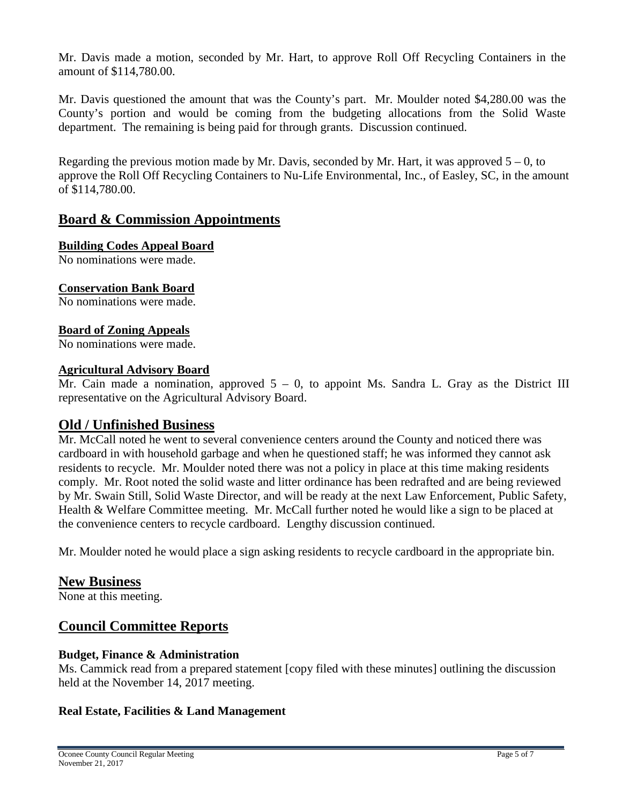Mr. Davis made a motion, seconded by Mr. Hart, to approve Roll Off Recycling Containers in the amount of \$114,780.00.

Mr. Davis questioned the amount that was the County's part. Mr. Moulder noted \$4,280.00 was the County's portion and would be coming from the budgeting allocations from the Solid Waste department. The remaining is being paid for through grants. Discussion continued.

Regarding the previous motion made by Mr. Davis, seconded by Mr. Hart, it was approved  $5 - 0$ , to approve the Roll Off Recycling Containers to Nu-Life Environmental, Inc., of Easley, SC, in the amount of \$114,780.00.

# **Board & Commission Appointments**

### **Building Codes Appeal Board**

No nominations were made.

## **Conservation Bank Board**

No nominations were made.

### **Board of Zoning Appeals**

No nominations were made.

#### **Agricultural Advisory Board**

Mr. Cain made a nomination, approved  $5 - 0$ , to appoint Ms. Sandra L. Gray as the District III representative on the Agricultural Advisory Board.

## **Old / Unfinished Business**

Mr. McCall noted he went to several convenience centers around the County and noticed there was cardboard in with household garbage and when he questioned staff; he was informed they cannot ask residents to recycle. Mr. Moulder noted there was not a policy in place at this time making residents comply. Mr. Root noted the solid waste and litter ordinance has been redrafted and are being reviewed by Mr. Swain Still, Solid Waste Director, and will be ready at the next Law Enforcement, Public Safety, Health & Welfare Committee meeting. Mr. McCall further noted he would like a sign to be placed at the convenience centers to recycle cardboard. Lengthy discussion continued.

Mr. Moulder noted he would place a sign asking residents to recycle cardboard in the appropriate bin.

## **New Business**

None at this meeting.

# **Council Committee Reports**

## **Budget, Finance & Administration**

Ms. Cammick read from a prepared statement [copy filed with these minutes] outlining the discussion held at the November 14, 2017 meeting.

## **Real Estate, Facilities & Land Management**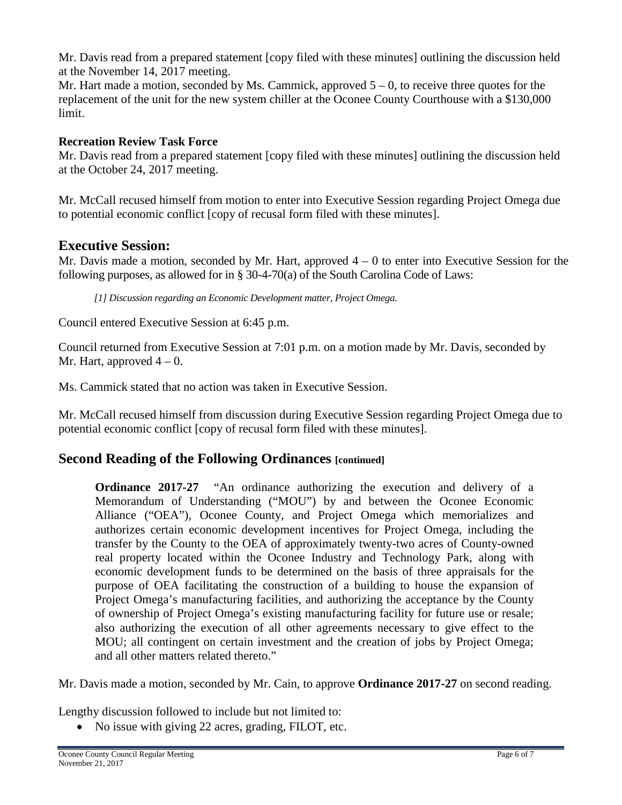Mr. Davis read from a prepared statement [copy filed with these minutes] outlining the discussion held at the November 14, 2017 meeting.

Mr. Hart made a motion, seconded by Ms. Cammick, approved  $5 - 0$ , to receive three quotes for the replacement of the unit for the new system chiller at the Oconee County Courthouse with a \$130,000 limit.

## **Recreation Review Task Force**

Mr. Davis read from a prepared statement [copy filed with these minutes] outlining the discussion held at the October 24, 2017 meeting.

Mr. McCall recused himself from motion to enter into Executive Session regarding Project Omega due to potential economic conflict [copy of recusal form filed with these minutes].

# **Executive Session:**

Mr. Davis made a motion, seconded by Mr. Hart, approved  $4 - 0$  to enter into Executive Session for the following purposes, as allowed for in § 30-4-70(a) of the South Carolina Code of Laws:

*[1] Discussion regarding an Economic Development matter, Project Omega.*

Council entered Executive Session at 6:45 p.m.

Council returned from Executive Session at 7:01 p.m. on a motion made by Mr. Davis, seconded by Mr. Hart, approved  $4 - 0$ .

Ms. Cammick stated that no action was taken in Executive Session.

Mr. McCall recused himself from discussion during Executive Session regarding Project Omega due to potential economic conflict [copy of recusal form filed with these minutes].

# **Second Reading of the Following Ordinances [continued]**

**Ordinance 2017-27** "An ordinance authorizing the execution and delivery of a Memorandum of Understanding ("MOU") by and between the Oconee Economic Alliance ("OEA"), Oconee County, and Project Omega which memorializes and authorizes certain economic development incentives for Project Omega, including the transfer by the County to the OEA of approximately twenty-two acres of County-owned real property located within the Oconee Industry and Technology Park, along with economic development funds to be determined on the basis of three appraisals for the purpose of OEA facilitating the construction of a building to house the expansion of Project Omega's manufacturing facilities, and authorizing the acceptance by the County of ownership of Project Omega's existing manufacturing facility for future use or resale; also authorizing the execution of all other agreements necessary to give effect to the MOU; all contingent on certain investment and the creation of jobs by Project Omega; and all other matters related thereto."

Mr. Davis made a motion, seconded by Mr. Cain, to approve **Ordinance 2017-27** on second reading.

Lengthy discussion followed to include but not limited to:

• No issue with giving 22 acres, grading, FILOT, etc.